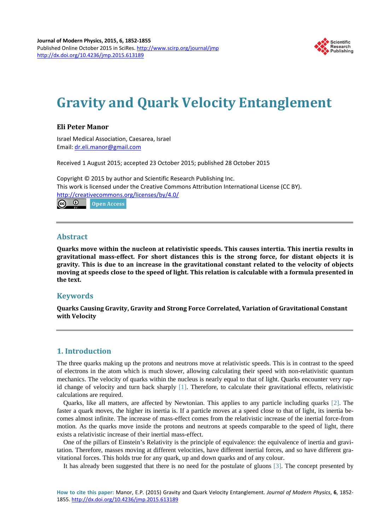

# **Gravity and Quark Velocity Entanglement**

### **Eli Peter Manor**

Israel Medical Association, Caesarea, Israel Email: [dr.eli.manor@gmail.com](mailto:dr.eli.manor@gmail.com) 

Received 1 August 2015; accepted 23 October 2015; published 28 October 2015

Copyright © 2015 by author and Scientific Research Publishing Inc. This work is licensed under the Creative Commons Attribution International License (CC BY). <http://creativecommons.org/licenses/by/4.0/>  $\odot$ **Open Access**  $(cc)$ 

#### **Abstract**

**Quarks move within the nucleon at relativistic speeds. This causes intertia. This inertia results in gravitational mass-effect. For short distances this is the strong force, for distant objects it is gravity. This is due to an increase in the gravitational constant related to the velocity of objects moving at speeds close to the speed of light. This relation is calculable with a formula presented in the text.**

# **Keywords**

**Quarks Causing Gravity, Gravity and Strong Force Correlated, Variation of Gravitational Constant with Velocity**

# **1. Introduction**

The three quarks making up the protons and neutrons move at relativistic speeds. This is in contrast to the speed of electrons in the atom which is much slower, allowing calculating their speed with non-relativistic quantum mechanics. The velocity of quarks within the nucleus is nearly equal to that of light. Quarks encounter very rapid change of velocity and turn back sharply [\[1\].](#page-2-0) Therefore, to calculate their gravitational effects, relativistic calculations are required.

Quarks, like all matters, are affected by Newtonian. This applies to any particle including quarks [\[2\].](#page-2-1) The faster a quark moves, the higher its inertia is. If a particle moves at a speed close to that of light, its inertia becomes almost infinite. The increase of mass-effect comes from the relativistic increase of the inertial force-from motion. As the quarks move inside the protons and neutrons at speeds comparable to the speed of light, there exists a relativistic increase of their inertial mass-effect.

One of the pillars of Einstein's Relativity is the principle of equivalence: the equivalence of inertia and gravitation. Therefore, masses moving at different velocities, have different inertial forces, and so have different gravitational forces. This holds true for any quark, up and down quarks and of any colour.

It has already been suggested that there is no need for the postulate of gluons [\[3\].](#page-2-2) The concept presented by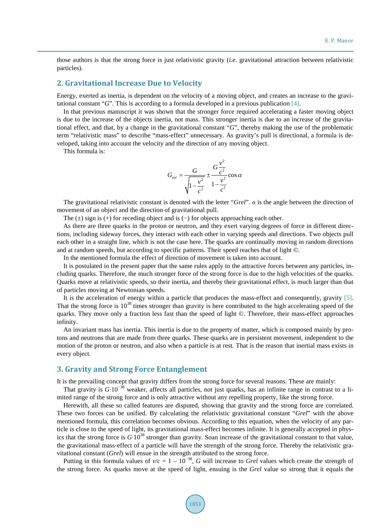those authors is that the strong force is just relativistic gravity (*i.e*. gravitational attraction between relativistic particles).

#### **2. Gravitational Increase Due to Velocity**

Energy, exerted as inertia, is dependent on the velocity of a moving object, and creates an increase to the gravitational constant "*G*". This is according to a formula developed in a previous publication [\[4\].](#page-3-0)

In that previous manuscript it was shown that the stronger force required accelerating a faster moving object is due to the increase of the objects inertia, not mass. This stronger inertia is due to an increase of the gravitational effect, and that, by a change in the gravitational constant "*G*", thereby making the use of the problematic term "relativistic mass" to describe "mass-effect" unnecessary. As gravity's pull is directional, a formula is developed, taking into account the velocity and the direction of any moving object.

This formula is:

$$
G_{rel} = \frac{G}{\sqrt{1 - \frac{v^2}{c^2}}} \pm \frac{G\frac{v^2}{c^2}}{1 - \frac{v^2}{c^2}} \cos \alpha
$$

The gravitational relativistic constant is denoted with the letter "*Grel*". *α* is the angle between the direction of movement of an object and the direction of gravitational pull.

The  $(±)$  sign is  $(+)$  for receding object and is  $(−)$  for objects approaching each other.

As there are three quarks in the proton or neutron, and they exert varying degrees of force in different directions, including sideway forces, they interact with each other in varying speeds and directions. Two objects pull each other in a straight line, which is not the case here. The quarks are continually moving in random directions and at random speeds, but according to specific patterns. Their speed reaches that of light ©.

In the mentioned formula the effect of direction of movement is taken into account.

It is postulated in the present paper that the same rules apply to the attractive forces between any particles, including quarks. Therefore, the much stronger force of the strong force is due to the high velocities of the quarks. Quarks move at relativistic speeds, so their inertia, and thereby their gravitational effect, is much larger than that of particles moving at Newtonian speeds.

It is the acceleration of energy within a particle that produces the mass-effect and consequently, gravity [\[5\].](#page-3-1) That the strong force is  $10^{38}$  times stronger than gravity is here contributed to the high accelerating speed of the quarks. They move only a fraction less fast than the speed of light ©. Therefore, their mass-effect approaches infinity.

An invariant mass has inertia. This inertia is due to the property of matter, which is composed mainly by protons and neutrons that are made from three quarks. These quarks are in persistent movement, independent to the motion of the proton or neutron, and also when a particle is at rest. That is the reason that inertial mass exists in every object.

#### **3. Gravity and Strong Force Entanglement**

It is the prevailing concept that gravity differs from the strong force for several reasons. These are mainly:

That gravity is *G*∙10<sup>−</sup><sup>38</sup> weaker, affects all particles, not just quarks, has an infinite range in contrast to a limited range of the strong force and is only attractive without any repelling property, like the strong force.

Herewith, all these so called features are disputed, showing that gravity and the strong force are correlated. These two forces can be unified. By calculating the relativistic gravitational constant "*Grel*" with the above mentioned formula, this correlation becomes obvious. According to this equation, when the velocity of any particle is close to the speed of light, its gravitational mass-effect becomes infinite. It is generally accepted in physics that the strong force is *G*∙10<sup>38</sup> stronger than gravity. Soan increase of the gravitational constant to that value, the gravitational mass-effect of a particle will have the strength of the strong force. Thereby the relativistic gravitational constant (*Grel*) will ensue in the strength attributed to the strong force.

Putting in this formula values of  $v/c = 1 - 10^{-38}$ , *G* will increase to *Grel* values which create the strength of the strong force. As quarks move at the speed of light, ensuing is the *Grel* value so strong that it equals the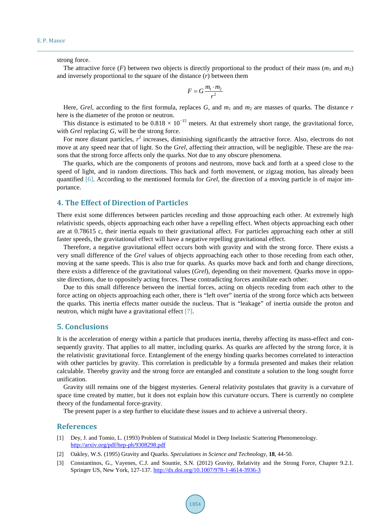strong force.

The attractive force (*F*) between two objects is directly proportional to the product of their mass ( $m_1$  and  $m_2$ ) and inversely proportional to the square of the distance (*r*) between them

$$
F = G \frac{m_1 \cdot m_2}{r^2}
$$

Here, *Grel*, according to the first formula, replaces *G*, and  $m_1$  and  $m_2$  are masses of quarks. The distance *r* here is the diameter of the proton or neutron.

This distance is estimated to be  $0.818 \times 10^{-15}$  meters. At that extremely short range, the gravitational force, with *Grel* replacing *G*, will be the strong force.

For more distant particles,  $r^2$  increases, diminishing significantly the attractive force. Also, electrons do not move at any speed near that of light. So the *Grel*, affecting their attraction, will be negligible. These are the reasons that the strong force affects only the quarks. Not due to any obscure phenomena.

The quarks, which are the components of protons and neutrons, move back and forth at a speed close to the speed of light, and in random directions. This back and forth movement, or zigzag motion, has already been quantified [\[6\].](#page-3-2) According to the mentioned formula for *Grel*, the direction of a moving particle is of major importance.

# **4. The Effect of Direction of Particles**

There exist some differences between particles receding and those approaching each other. At extremely high relativistic speeds, objects approaching each other have a repelling effect. When objects approaching each other are at 0.78615 c, their inertia equals to their gravitational affect. For particles approaching each other at still faster speeds, the gravitational effect will have a negative repelling gravitational effect.

Therefore, a negative gravitational effect occurs both with gravity and with the strong force. There exists a very small difference of the *Grel* values of objects approaching each other to those receding from each other, moving at the same speeds. This is also true for quarks. As quarks move back and forth and change directions, there exists a difference of the gravitational values (*Grel*), depending on their movement. Quarks move in opposite directions, due to oppositely acting forces. These contradicting forces annihilate each other.

Due to this small difference between the inertial forces, acting on objects receding from each other to the force acting on objects approaching each other, there is "left over" inertia of the strong force which acts between the quarks. This inertia effects matter outside the nucleus. That is "leakage" of inertia outside the proton and neutron, which might have a gravitational effect [\[7\].](#page-3-3)

#### **5. Conclusions**

It is the acceleration of energy within a particle that produces inertia, thereby affecting its mass-effect and consequently gravity. That applies to all matter, including quarks. As quarks are affected by the strong force, it is the relativistic gravitational force. Entanglement of the energy binding quarks becomes correlated to interaction with other particles by gravity. This correlation is predictable by a formula presented and makes their relation calculable. Thereby gravity and the strong force are entangled and constitute a solution to the long sought force unification.

Gravity still remains one of the biggest mysteries. General relativity postulates that gravity is a curvature of space time created by matter, but it does not explain how this curvature occurs. There is currently no complete theory of the fundamental force-gravity.

The present paper is a step further to elucidate these issues and to achieve a universal theory.

#### **References**

- <span id="page-2-0"></span>[1] Dey, J. and Tomio, L. (1993) Problem of Statistical Model in Deep Inelastic Scattering Phenomenology. <http://arxiv.org/pdf/hep-ph/9308298.pdf>
- <span id="page-2-1"></span>[2] Oakley, W.S. (1995) Gravity and Quarks. *Speculations in Science and Technology*, **18**, 44-50.
- <span id="page-2-2"></span>[3] Constantinos, G., Vayenes, C.J. and Sountie, S.N. (2012) Gravity, Relativity and the Strong Force, Chapter 9.2.1. Springer US, New York, 127-137. <http://dx.doi.org/10.1007/978-1-4614-3936-3>